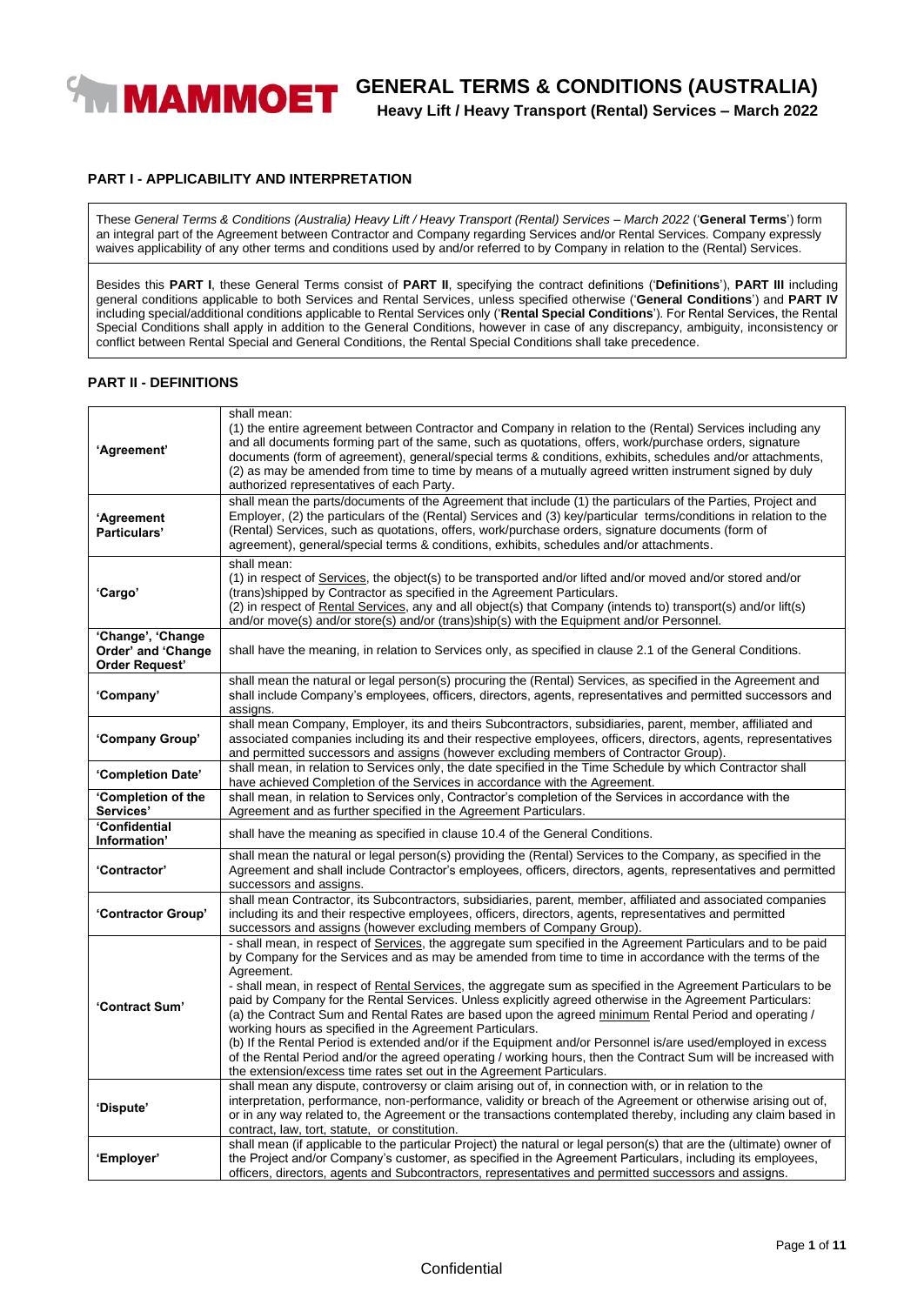

# **GENERAL TERMS & CONDITIONS (AUSTRALIA)**

**Heavy Lift / Heavy Transport (Rental) Services – March 2022**

#### **PART I - APPLICABILITY AND INTERPRETATION**

These *General Terms & Conditions (Australia) Heavy Lift / Heavy Transport (Rental) Services – March 2022* ('**General Terms**') form an integral part of the Agreement between Contractor and Company regarding Services and/or Rental Services. Company expressly waives applicability of any other terms and conditions used by and/or referred to by Company in relation to the (Rental) Services.

Besides this **PART I**, these General Terms consist of **PART II**, specifying the contract definitions ('**Definitions**'), **PART III** including general conditions applicable to both Services and Rental Services, unless specified otherwise ('**General Conditions**') and **PART IV** including special/additional conditions applicable to Rental Services only ('**Rental Special Conditions**'). For Rental Services, the Rental Special Conditions shall apply in addition to the General Conditions, however in case of any discrepancy, ambiguity, inconsistency or conflict between Rental Special and General Conditions, the Rental Special Conditions shall take precedence.

#### **PART II - DEFINITIONS**

| 'Agreement'                                                      | shall mean:<br>(1) the entire agreement between Contractor and Company in relation to the (Rental) Services including any<br>and all documents forming part of the same, such as quotations, offers, work/purchase orders, signature<br>documents (form of agreement), general/special terms & conditions, exhibits, schedules and/or attachments,<br>(2) as may be amended from time to time by means of a mutually agreed written instrument signed by duly<br>authorized representatives of each Party.                                                                                                                                                                                                                                                                                                                                                                                                                                            |  |
|------------------------------------------------------------------|-------------------------------------------------------------------------------------------------------------------------------------------------------------------------------------------------------------------------------------------------------------------------------------------------------------------------------------------------------------------------------------------------------------------------------------------------------------------------------------------------------------------------------------------------------------------------------------------------------------------------------------------------------------------------------------------------------------------------------------------------------------------------------------------------------------------------------------------------------------------------------------------------------------------------------------------------------|--|
| 'Agreement<br>Particulars'                                       | shall mean the parts/documents of the Agreement that include (1) the particulars of the Parties, Project and<br>Employer, (2) the particulars of the (Rental) Services and (3) key/particular terms/conditions in relation to the<br>(Rental) Services, such as quotations, offers, work/purchase orders, signature documents (form of<br>agreement), general/special terms & conditions, exhibits, schedules and/or attachments.                                                                                                                                                                                                                                                                                                                                                                                                                                                                                                                     |  |
| 'Cargo'                                                          | shall mean:<br>(1) in respect of Services, the object(s) to be transported and/or lifted and/or moved and/or stored and/or<br>(trans)shipped by Contractor as specified in the Agreement Particulars.<br>(2) in respect of Rental Services, any and all object(s) that Company (intends to) transport(s) and/or lift(s)<br>and/or move(s) and/or store(s) and/or (trans)ship(s) with the Equipment and/or Personnel.                                                                                                                                                                                                                                                                                                                                                                                                                                                                                                                                  |  |
| 'Change', 'Change<br>Order' and 'Change<br><b>Order Request'</b> | shall have the meaning, in relation to Services only, as specified in clause 2.1 of the General Conditions.                                                                                                                                                                                                                                                                                                                                                                                                                                                                                                                                                                                                                                                                                                                                                                                                                                           |  |
| 'Company'                                                        | shall mean the natural or legal person(s) procuring the (Rental) Services, as specified in the Agreement and<br>shall include Company's employees, officers, directors, agents, representatives and permitted successors and<br>assigns.                                                                                                                                                                                                                                                                                                                                                                                                                                                                                                                                                                                                                                                                                                              |  |
| 'Company Group'                                                  | shall mean Company, Employer, its and theirs Subcontractors, subsidiaries, parent, member, affiliated and<br>associated companies including its and their respective employees, officers, directors, agents, representatives<br>and permitted successors and assigns (however excluding members of Contractor Group).                                                                                                                                                                                                                                                                                                                                                                                                                                                                                                                                                                                                                                 |  |
| 'Completion Date'                                                | shall mean, in relation to Services only, the date specified in the Time Schedule by which Contractor shall<br>have achieved Completion of the Services in accordance with the Agreement.                                                                                                                                                                                                                                                                                                                                                                                                                                                                                                                                                                                                                                                                                                                                                             |  |
| 'Completion of the<br>Services'                                  | shall mean, in relation to Services only, Contractor's completion of the Services in accordance with the<br>Agreement and as further specified in the Agreement Particulars.                                                                                                                                                                                                                                                                                                                                                                                                                                                                                                                                                                                                                                                                                                                                                                          |  |
| 'Confidential<br>Information'                                    | shall have the meaning as specified in clause 10.4 of the General Conditions.                                                                                                                                                                                                                                                                                                                                                                                                                                                                                                                                                                                                                                                                                                                                                                                                                                                                         |  |
| <b>'Contractor'</b>                                              | shall mean the natural or legal person(s) providing the (Rental) Services to the Company, as specified in the<br>Agreement and shall include Contractor's employees, officers, directors, agents, representatives and permitted<br>successors and assigns.                                                                                                                                                                                                                                                                                                                                                                                                                                                                                                                                                                                                                                                                                            |  |
| 'Contractor Group'                                               | shall mean Contractor, its Subcontractors, subsidiaries, parent, member, affiliated and associated companies<br>including its and their respective employees, officers, directors, agents, representatives and permitted<br>successors and assigns (however excluding members of Company Group).                                                                                                                                                                                                                                                                                                                                                                                                                                                                                                                                                                                                                                                      |  |
| 'Contract Sum'                                                   | - shall mean, in respect of Services, the aggregate sum specified in the Agreement Particulars and to be paid<br>by Company for the Services and as may be amended from time to time in accordance with the terms of the<br>Agreement.<br>- shall mean, in respect of Rental Services, the aggregate sum as specified in the Agreement Particulars to be<br>paid by Company for the Rental Services. Unless explicitly agreed otherwise in the Agreement Particulars:<br>(a) the Contract Sum and Rental Rates are based upon the agreed minimum Rental Period and operating /<br>working hours as specified in the Agreement Particulars.<br>(b) If the Rental Period is extended and/or if the Equipment and/or Personnel is/are used/employed in excess<br>of the Rental Period and/or the agreed operating / working hours, then the Contract Sum will be increased with<br>the extension/excess time rates set out in the Agreement Particulars. |  |
| 'Dispute'                                                        | shall mean any dispute, controversy or claim arising out of, in connection with, or in relation to the<br>interpretation, performance, non-performance, validity or breach of the Agreement or otherwise arising out of,<br>or in any way related to, the Agreement or the transactions contemplated thereby, including any claim based in<br>contract, law, tort, statute, or constitution.                                                                                                                                                                                                                                                                                                                                                                                                                                                                                                                                                          |  |
| 'Employer'                                                       | shall mean (if applicable to the particular Project) the natural or legal person(s) that are the (ultimate) owner of<br>the Project and/or Company's customer, as specified in the Agreement Particulars, including its employees,<br>officers, directors, agents and Subcontractors, representatives and permitted successors and assigns.                                                                                                                                                                                                                                                                                                                                                                                                                                                                                                                                                                                                           |  |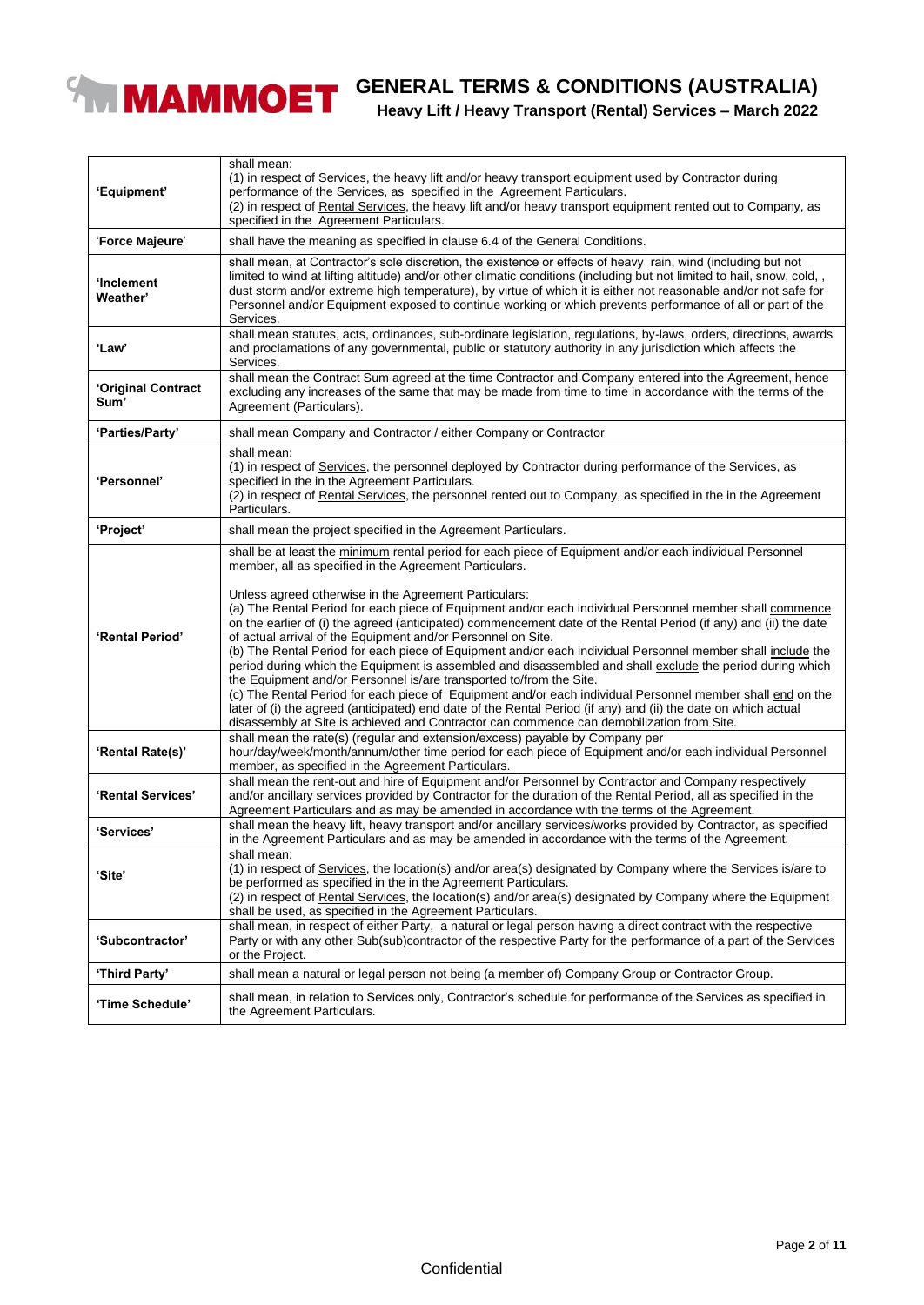

# **GENERAL TERMS & CONDITIONS (AUSTRALIA)**

### **Heavy Lift / Heavy Transport (Rental) Services – March 2022**

| 'Equipment'                | shall mean:<br>(1) in respect of Services, the heavy lift and/or heavy transport equipment used by Contractor during<br>performance of the Services, as specified in the Agreement Particulars.<br>(2) in respect of Rental Services, the heavy lift and/or heavy transport equipment rented out to Company, as<br>specified in the Agreement Particulars.                                                                                                                                                                                                                                                                                                                                                                                                                                                                                                                                                                                                                                                                                                                                                                                                  |  |
|----------------------------|-------------------------------------------------------------------------------------------------------------------------------------------------------------------------------------------------------------------------------------------------------------------------------------------------------------------------------------------------------------------------------------------------------------------------------------------------------------------------------------------------------------------------------------------------------------------------------------------------------------------------------------------------------------------------------------------------------------------------------------------------------------------------------------------------------------------------------------------------------------------------------------------------------------------------------------------------------------------------------------------------------------------------------------------------------------------------------------------------------------------------------------------------------------|--|
| 'Force Majeure'            | shall have the meaning as specified in clause 6.4 of the General Conditions.                                                                                                                                                                                                                                                                                                                                                                                                                                                                                                                                                                                                                                                                                                                                                                                                                                                                                                                                                                                                                                                                                |  |
| ʻInclement<br>Weather'     | shall mean, at Contractor's sole discretion, the existence or effects of heavy rain, wind (including but not<br>limited to wind at lifting altitude) and/or other climatic conditions (including but not limited to hail, snow, cold, ,<br>dust storm and/or extreme high temperature), by virtue of which it is either not reasonable and/or not safe for<br>Personnel and/or Equipment exposed to continue working or which prevents performance of all or part of the<br>Services.                                                                                                                                                                                                                                                                                                                                                                                                                                                                                                                                                                                                                                                                       |  |
| 'Law'                      | shall mean statutes, acts, ordinances, sub-ordinate legislation, regulations, by-laws, orders, directions, awards<br>and proclamations of any governmental, public or statutory authority in any jurisdiction which affects the<br>Services.                                                                                                                                                                                                                                                                                                                                                                                                                                                                                                                                                                                                                                                                                                                                                                                                                                                                                                                |  |
| 'Original Contract<br>Sum' | shall mean the Contract Sum agreed at the time Contractor and Company entered into the Agreement, hence<br>excluding any increases of the same that may be made from time to time in accordance with the terms of the<br>Agreement (Particulars).                                                                                                                                                                                                                                                                                                                                                                                                                                                                                                                                                                                                                                                                                                                                                                                                                                                                                                           |  |
| 'Parties/Party'            | shall mean Company and Contractor / either Company or Contractor                                                                                                                                                                                                                                                                                                                                                                                                                                                                                                                                                                                                                                                                                                                                                                                                                                                                                                                                                                                                                                                                                            |  |
| 'Personnel'                | shall mean:<br>(1) in respect of Services, the personnel deployed by Contractor during performance of the Services, as<br>specified in the in the Agreement Particulars.<br>(2) in respect of Rental Services, the personnel rented out to Company, as specified in the in the Agreement<br>Particulars.                                                                                                                                                                                                                                                                                                                                                                                                                                                                                                                                                                                                                                                                                                                                                                                                                                                    |  |
| 'Project'                  | shall mean the project specified in the Agreement Particulars.                                                                                                                                                                                                                                                                                                                                                                                                                                                                                                                                                                                                                                                                                                                                                                                                                                                                                                                                                                                                                                                                                              |  |
| 'Rental Period'            | shall be at least the minimum rental period for each piece of Equipment and/or each individual Personnel<br>member, all as specified in the Agreement Particulars.<br>Unless agreed otherwise in the Agreement Particulars:<br>(a) The Rental Period for each piece of Equipment and/or each individual Personnel member shall commence<br>on the earlier of (i) the agreed (anticipated) commencement date of the Rental Period (if any) and (ii) the date<br>of actual arrival of the Equipment and/or Personnel on Site.<br>(b) The Rental Period for each piece of Equipment and/or each individual Personnel member shall include the<br>period during which the Equipment is assembled and disassembled and shall exclude the period during which<br>the Equipment and/or Personnel is/are transported to/from the Site.<br>(c) The Rental Period for each piece of Equipment and/or each individual Personnel member shall end on the<br>later of (i) the agreed (anticipated) end date of the Rental Period (if any) and (ii) the date on which actual<br>disassembly at Site is achieved and Contractor can commence can demobilization from Site. |  |
| 'Rental Rate(s)'           | shall mean the rate(s) (regular and extension/excess) payable by Company per<br>hour/day/week/month/annum/other time period for each piece of Equipment and/or each individual Personnel<br>member, as specified in the Agreement Particulars.                                                                                                                                                                                                                                                                                                                                                                                                                                                                                                                                                                                                                                                                                                                                                                                                                                                                                                              |  |
| 'Rental Services'          | shall mean the rent-out and hire of Equipment and/or Personnel by Contractor and Company respectively<br>and/or ancillary services provided by Contractor for the duration of the Rental Period, all as specified in the<br>Agreement Particulars and as may be amended in accordance with the terms of the Agreement.                                                                                                                                                                                                                                                                                                                                                                                                                                                                                                                                                                                                                                                                                                                                                                                                                                      |  |
| 'Services'                 | shall mean the heavy lift, heavy transport and/or ancillary services/works provided by Contractor, as specified<br>in the Agreement Particulars and as may be amended in accordance with the terms of the Agreement.                                                                                                                                                                                                                                                                                                                                                                                                                                                                                                                                                                                                                                                                                                                                                                                                                                                                                                                                        |  |
| 'Site'                     | shall mean:<br>(1) in respect of Services, the location(s) and/or area(s) designated by Company where the Services is/are to<br>be performed as specified in the in the Agreement Particulars.<br>(2) in respect of Rental Services, the location(s) and/or area(s) designated by Company where the Equipment<br>shall be used, as specified in the Agreement Particulars.                                                                                                                                                                                                                                                                                                                                                                                                                                                                                                                                                                                                                                                                                                                                                                                  |  |
| 'Subcontractor'            | shall mean, in respect of either Party, a natural or legal person having a direct contract with the respective<br>Party or with any other Sub(sub)contractor of the respective Party for the performance of a part of the Services<br>or the Project.                                                                                                                                                                                                                                                                                                                                                                                                                                                                                                                                                                                                                                                                                                                                                                                                                                                                                                       |  |
| 'Third Party'              | shall mean a natural or legal person not being (a member of) Company Group or Contractor Group.                                                                                                                                                                                                                                                                                                                                                                                                                                                                                                                                                                                                                                                                                                                                                                                                                                                                                                                                                                                                                                                             |  |
| 'Time Schedule'            | shall mean, in relation to Services only, Contractor's schedule for performance of the Services as specified in<br>the Agreement Particulars.                                                                                                                                                                                                                                                                                                                                                                                                                                                                                                                                                                                                                                                                                                                                                                                                                                                                                                                                                                                                               |  |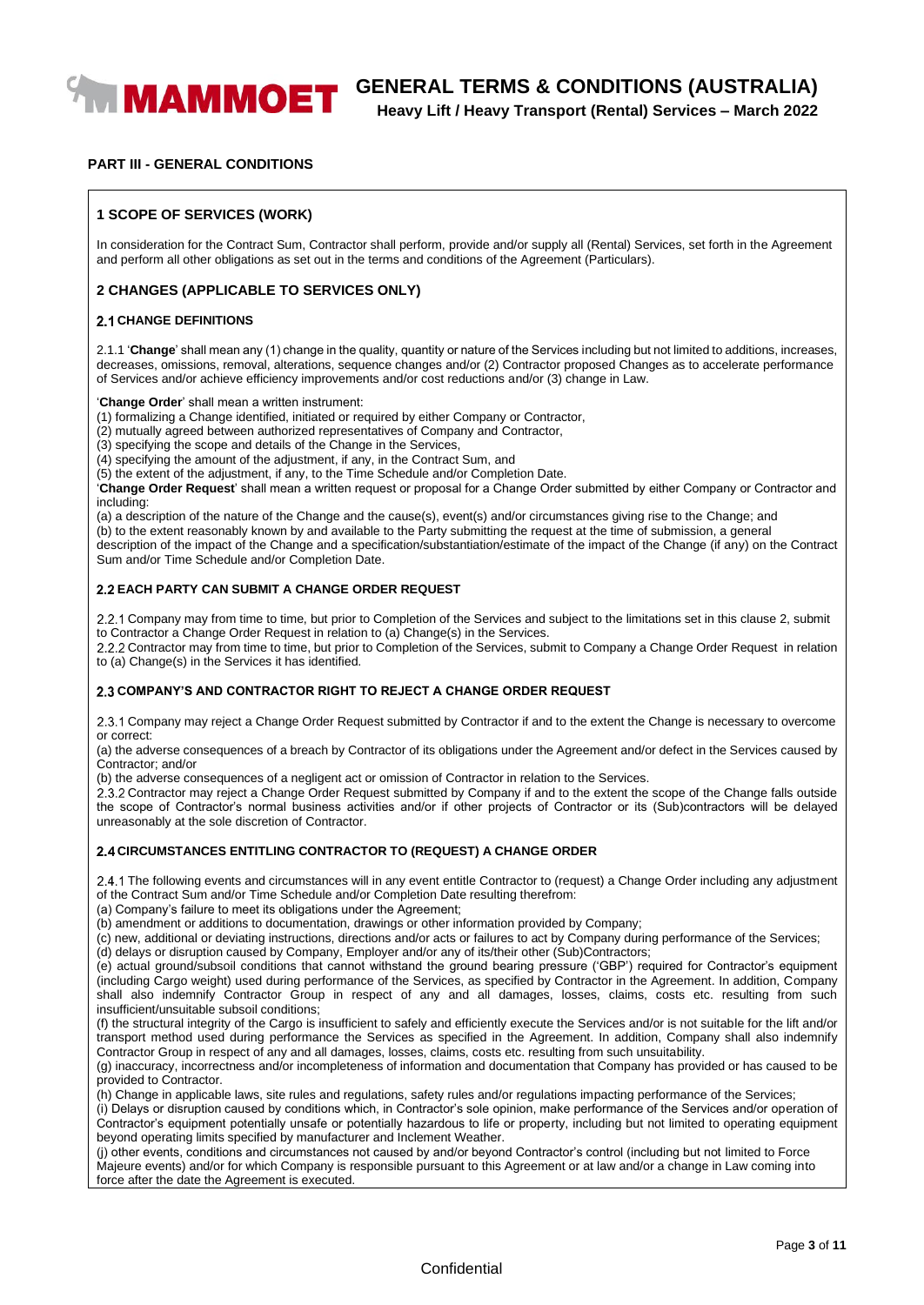

# **WAMMOET** GENERAL TERMS & CONDITIONS (AUSTRALIA)

**Heavy Lift / Heavy Transport (Rental) Services – March 2022**

#### **PART III - GENERAL CONDITIONS**

#### **1 SCOPE OF SERVICES (WORK)**

In consideration for the Contract Sum, Contractor shall perform, provide and/or supply all (Rental) Services, set forth in the Agreement and perform all other obligations as set out in the terms and conditions of the Agreement (Particulars).

#### **2 CHANGES (APPLICABLE TO SERVICES ONLY)**

#### **2.1 CHANGE DEFINITIONS**

2.1.1 '**Change**' shall mean any (1) change in the quality, quantity or nature of the Services including but not limited to additions, increases, decreases, omissions, removal, alterations, sequence changes and/or (2) Contractor proposed Changes as to accelerate performance of Services and/or achieve efficiency improvements and/or cost reductions and/or (3) change in Law.

#### '**Change Order**' shall mean a written instrument:

(1) formalizing a Change identified, initiated or required by either Company or Contractor,

(2) mutually agreed between authorized representatives of Company and Contractor,

(3) specifying the scope and details of the Change in the Services,

(4) specifying the amount of the adjustment, if any, in the Contract Sum, and

(5) the extent of the adjustment, if any, to the Time Schedule and/or Completion Date.

'**Change Order Request**' shall mean a written request or proposal for a Change Order submitted by either Company or Contractor and including:

(a) a description of the nature of the Change and the cause(s), event(s) and/or circumstances giving rise to the Change; and

(b) to the extent reasonably known by and available to the Party submitting the request at the time of submission, a general

description of the impact of the Change and a specification/substantiation/estimate of the impact of the Change (if any) on the Contract Sum and/or Time Schedule and/or Completion Date.

#### **EACH PARTY CAN SUBMIT A CHANGE ORDER REQUEST**

2.2.1 Company may from time to time, but prior to Completion of the Services and subject to the limitations set in this clause 2, submit to Contractor a Change Order Request in relation to (a) Change(s) in the Services.

2.2.2 Contractor may from time to time, but prior to Completion of the Services, submit to Company a Change Order Request in relation to (a) Change(s) in the Services it has identified.

#### **COMPANY'S AND CONTRACTOR RIGHT TO REJECT A CHANGE ORDER REQUEST**

Company may reject a Change Order Request submitted by Contractor if and to the extent the Change is necessary to overcome or correct:

(a) the adverse consequences of a breach by Contractor of its obligations under the Agreement and/or defect in the Services caused by Contractor; and/or

(b) the adverse consequences of a negligent act or omission of Contractor in relation to the Services.

2.3.2 Contractor may reject a Change Order Request submitted by Company if and to the extent the scope of the Change falls outside the scope of Contractor's normal business activities and/or if other projects of Contractor or its (Sub)contractors will be delayed unreasonably at the sole discretion of Contractor.

#### **CIRCUMSTANCES ENTITLING CONTRACTOR TO (REQUEST) A CHANGE ORDER**

2.4.1 The following events and circumstances will in any event entitle Contractor to (request) a Change Order including any adjustment of the Contract Sum and/or Time Schedule and/or Completion Date resulting therefrom:

(a) Company's failure to meet its obligations under the Agreement;

(b) amendment or additions to documentation, drawings or other information provided by Company;

(c) new, additional or deviating instructions, directions and/or acts or failures to act by Company during performance of the Services;

(d) delays or disruption caused by Company, Employer and/or any of its/their other (Sub)Contractors;

(e) actual ground/subsoil conditions that cannot withstand the ground bearing pressure ('GBP') required for Contractor's equipment (including Cargo weight) used during performance of the Services, as specified by Contractor in the Agreement. In addition, Company shall also indemnify Contractor Group in respect of any and all damages, losses, claims, costs etc. resulting from such insufficient/unsuitable subsoil conditions;

(f) the structural integrity of the Cargo is insufficient to safely and efficiently execute the Services and/or is not suitable for the lift and/or transport method used during performance the Services as specified in the Agreement. In addition, Company shall also indemnify Contractor Group in respect of any and all damages, losses, claims, costs etc. resulting from such unsuitability.

(g) inaccuracy, incorrectness and/or incompleteness of information and documentation that Company has provided or has caused to be provided to Contractor.

(h) Change in applicable laws, site rules and regulations, safety rules and/or regulations impacting performance of the Services;

(i) Delays or disruption caused by conditions which, in Contractor's sole opinion, make performance of the Services and/or operation of Contractor's equipment potentially unsafe or potentially hazardous to life or property, including but not limited to operating equipment beyond operating limits specified by manufacturer and Inclement Weather.

(j) other events, conditions and circumstances not caused by and/or beyond Contractor's control (including but not limited to Force Majeure events) and/or for which Company is responsible pursuant to this Agreement or at law and/or a change in Law coming into force after the date the Agreement is executed.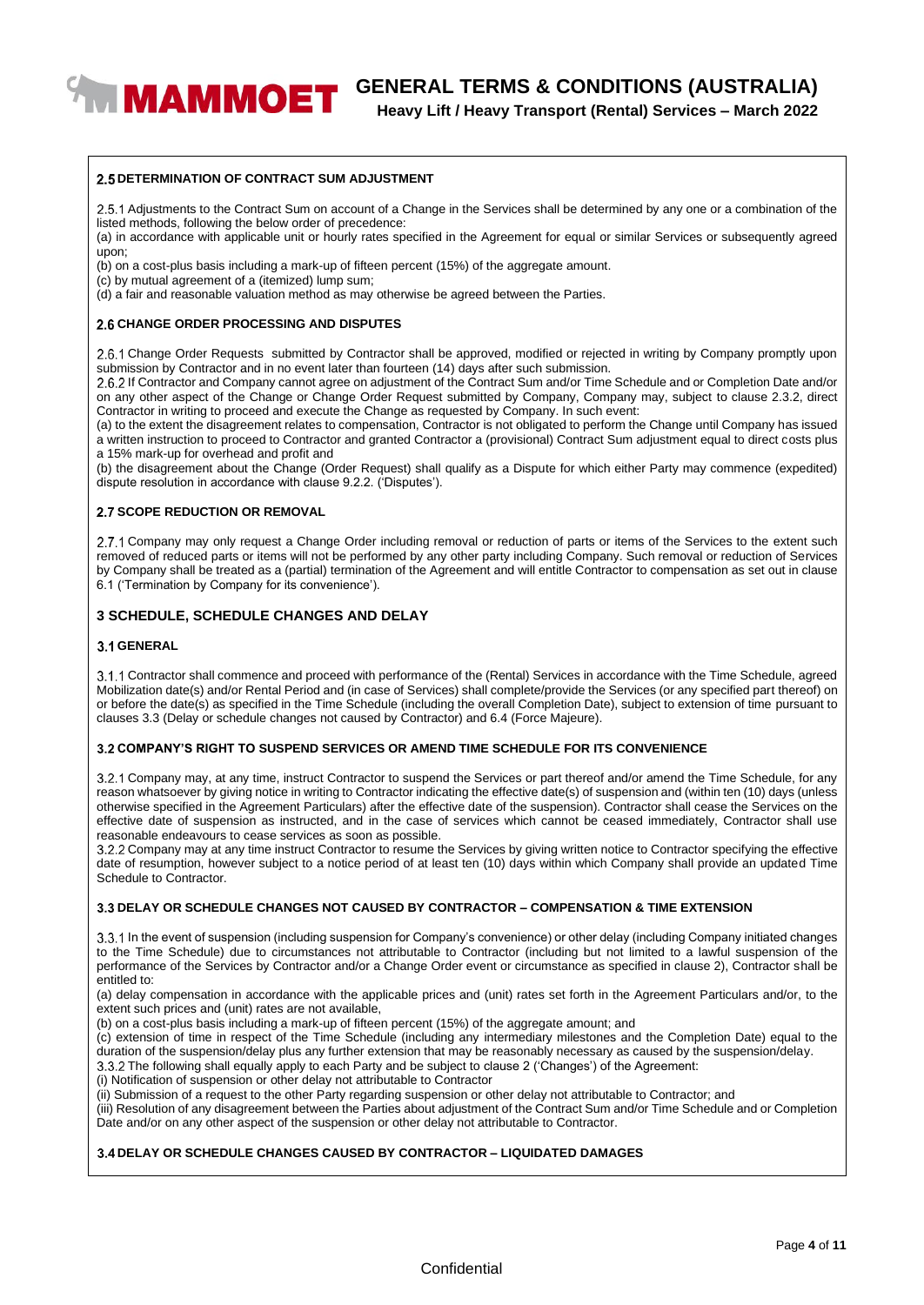**WAMMOET** GENERAL TERMS & CONDITIONS (AUSTRALIA)

**Heavy Lift / Heavy Transport (Rental) Services – March 2022**

#### **2.5 DETERMINATION OF CONTRACT SUM ADJUSTMENT**

2.5.1 Adjustments to the Contract Sum on account of a Change in the Services shall be determined by any one or a combination of the listed methods, following the below order of precedence:

(a) in accordance with applicable unit or hourly rates specified in the Agreement for equal or similar Services or subsequently agreed upon;

(b) on a cost-plus basis including a mark-up of fifteen percent (15%) of the aggregate amount.

(c) by mutual agreement of a (itemized) lump sum;

(d) a fair and reasonable valuation method as may otherwise be agreed between the Parties.

#### **CHANGE ORDER PROCESSING AND DISPUTES**

2.6.1 Change Order Requests submitted by Contractor shall be approved, modified or rejected in writing by Company promptly upon submission by Contractor and in no event later than fourteen (14) days after such submission.

2.6.2 If Contractor and Company cannot agree on adjustment of the Contract Sum and/or Time Schedule and or Completion Date and/or on any other aspect of the Change or Change Order Request submitted by Company, Company may, subject to clause 2.3.2, direct Contractor in writing to proceed and execute the Change as requested by Company. In such event:

(a) to the extent the disagreement relates to compensation, Contractor is not obligated to perform the Change until Company has issued a written instruction to proceed to Contractor and granted Contractor a (provisional) Contract Sum adjustment equal to direct costs plus a 15% mark-up for overhead and profit and

(b) the disagreement about the Change (Order Request) shall qualify as a Dispute for which either Party may commence (expedited) dispute resolution in accordance with clause 9.2.2. ('Disputes').

#### **2.7 SCOPE REDUCTION OR REMOVAL**

2.7.1 Company may only request a Change Order including removal or reduction of parts or items of the Services to the extent such removed of reduced parts or items will not be performed by any other party including Company. Such removal or reduction of Services by Company shall be treated as a (partial) termination of the Agreement and will entitle Contractor to compensation as set out in clause 6.1 ('Termination by Company for its convenience').

#### **3 SCHEDULE, SCHEDULE CHANGES AND DELAY**

#### **GENERAL**

Contractor shall commence and proceed with performance of the (Rental) Services in accordance with the Time Schedule, agreed Mobilization date(s) and/or Rental Period and (in case of Services) shall complete/provide the Services (or any specified part thereof) on or before the date(s) as specified in the Time Schedule (including the overall Completion Date), subject to extension of time pursuant to clauses 3.3 (Delay or schedule changes not caused by Contractor) and 6.4 (Force Majeure).

#### **COMPANY'S RIGHT TO SUSPEND SERVICES OR AMEND TIME SCHEDULE FOR ITS CONVENIENCE**

3.2.1 Company may, at any time, instruct Contractor to suspend the Services or part thereof and/or amend the Time Schedule, for any reason whatsoever by giving notice in writing to Contractor indicating the effective date(s) of suspension and (within ten (10) days (unless otherwise specified in the Agreement Particulars) after the effective date of the suspension). Contractor shall cease the Services on the effective date of suspension as instructed, and in the case of services which cannot be ceased immediately, Contractor shall use reasonable endeavours to cease services as soon as possible.

3.2.2 Company may at any time instruct Contractor to resume the Services by giving written notice to Contractor specifying the effective date of resumption, however subject to a notice period of at least ten (10) days within which Company shall provide an updated Time Schedule to Contractor.

#### **DELAY OR SCHEDULE CHANGES NOT CAUSED BY CONTRACTOR – COMPENSATION & TIME EXTENSION**

In the event of suspension (including suspension for Company's convenience) or other delay (including Company initiated changes to the Time Schedule) due to circumstances not attributable to Contractor (including but not limited to a lawful suspension of the performance of the Services by Contractor and/or a Change Order event or circumstance as specified in clause 2), Contractor shall be entitled to:

(a) delay compensation in accordance with the applicable prices and (unit) rates set forth in the Agreement Particulars and/or, to the extent such prices and (unit) rates are not available,

(b) on a cost-plus basis including a mark-up of fifteen percent (15%) of the aggregate amount; and

(c) extension of time in respect of the Time Schedule (including any intermediary milestones and the Completion Date) equal to the duration of the suspension/delay plus any further extension that may be reasonably necessary as caused by the suspension/delay. 3.3.2 The following shall equally apply to each Party and be subject to clause 2 ('Changes') of the Agreement:

(i) Notification of suspension or other delay not attributable to Contractor

(ii) Submission of a request to the other Party regarding suspension or other delay not attributable to Contractor; and

(iii) Resolution of any disagreement between the Parties about adjustment of the Contract Sum and/or Time Schedule and or Completion Date and/or on any other aspect of the suspension or other delay not attributable to Contractor.

#### **DELAY OR SCHEDULE CHANGES CAUSED BY CONTRACTOR – LIQUIDATED DAMAGES**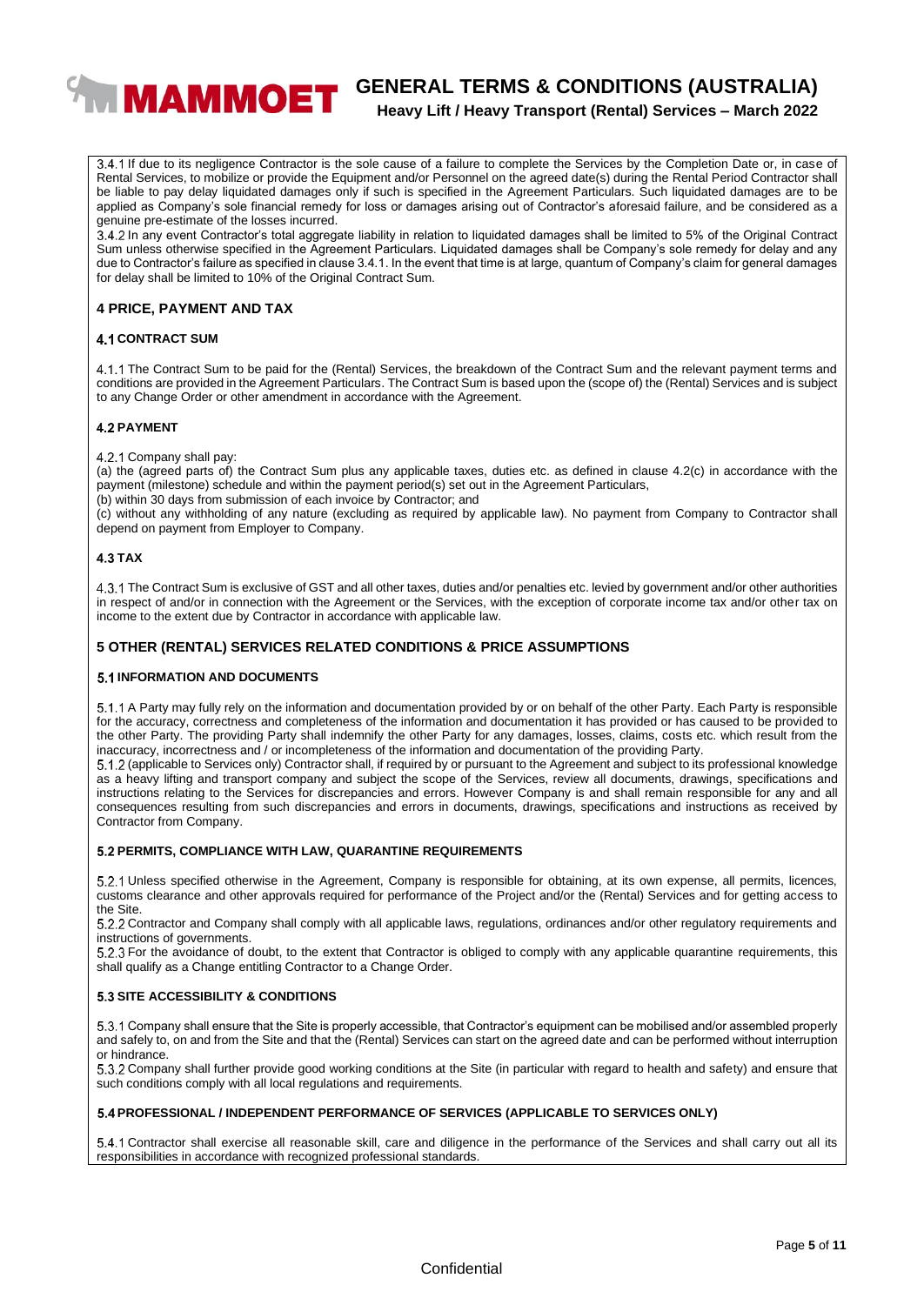

# **WIMAMMOET** GENERAL TERMS & CONDITIONS (AUSTRALIA)

### **Heavy Lift / Heavy Transport (Rental) Services – March 2022**

3.4.1 If due to its negligence Contractor is the sole cause of a failure to complete the Services by the Completion Date or, in case of Rental Services, to mobilize or provide the Equipment and/or Personnel on the agreed date(s) during the Rental Period Contractor shall be liable to pay delay liquidated damages only if such is specified in the Agreement Particulars. Such liquidated damages are to be applied as Company's sole financial remedy for loss or damages arising out of Contractor's aforesaid failure, and be considered as a genuine pre-estimate of the losses incurred.

In any event Contractor's total aggregate liability in relation to liquidated damages shall be limited to 5% of the Original Contract Sum unless otherwise specified in the Agreement Particulars. Liquidated damages shall be Company's sole remedy for delay and any due to Contractor's failure as specified in clause 3.4.1. In the event that time is at large, quantum of Company's claim for general damages for delay shall be limited to 10% of the Original Contract Sum.

#### **4 PRICE, PAYMENT AND TAX**

#### **4.1 CONTRACT SUM**

4.1.1 The Contract Sum to be paid for the (Rental) Services, the breakdown of the Contract Sum and the relevant payment terms and conditions are provided in the Agreement Particulars. The Contract Sum is based upon the (scope of) the (Rental) Services and is subject to any Change Order or other amendment in accordance with the Agreement.

#### **4.2 PAYMENT**

4.2.1 Company shall pay:

(a) the (agreed parts of) the Contract Sum plus any applicable taxes, duties etc. as defined in clause 4.2(c) in accordance with the payment (milestone) schedule and within the payment period(s) set out in the Agreement Particulars,

(b) within 30 days from submission of each invoice by Contractor; and

(c) without any withholding of any nature (excluding as required by applicable law). No payment from Company to Contractor shall depend on payment from Employer to Company.

#### **TAX**

The Contract Sum is exclusive of GST and all other taxes, duties and/or penalties etc. levied by government and/or other authorities in respect of and/or in connection with the Agreement or the Services, with the exception of corporate income tax and/or other tax on income to the extent due by Contractor in accordance with applicable law.

#### **5 OTHER (RENTAL) SERVICES RELATED CONDITIONS & PRICE ASSUMPTIONS**

#### **5.1 INFORMATION AND DOCUMENTS**

5.1.1 A Party may fully rely on the information and documentation provided by or on behalf of the other Party. Each Party is responsible for the accuracy, correctness and completeness of the information and documentation it has provided or has caused to be provided to the other Party. The providing Party shall indemnify the other Party for any damages, losses, claims, costs etc. which result from the inaccuracy, incorrectness and / or incompleteness of the information and documentation of the providing Party.

5.1.2 (applicable to Services only) Contractor shall, if required by or pursuant to the Agreement and subject to its professional knowledge as a heavy lifting and transport company and subject the scope of the Services, review all documents, drawings, specifications and instructions relating to the Services for discrepancies and errors. However Company is and shall remain responsible for any and all consequences resulting from such discrepancies and errors in documents, drawings, specifications and instructions as received by Contractor from Company.

#### **PERMITS, COMPLIANCE WITH LAW, QUARANTINE REQUIREMENTS**

5.2.1 Unless specified otherwise in the Agreement, Company is responsible for obtaining, at its own expense, all permits, licences, customs clearance and other approvals required for performance of the Project and/or the (Rental) Services and for getting access to the Site.

Contractor and Company shall comply with all applicable laws, regulations, ordinances and/or other regulatory requirements and instructions of governments.

For the avoidance of doubt, to the extent that Contractor is obliged to comply with any applicable quarantine requirements, this shall qualify as a Change entitling Contractor to a Change Order.

#### **5.3 SITE ACCESSIBILITY & CONDITIONS**

Company shall ensure that the Site is properly accessible, that Contractor's equipment can be mobilised and/or assembled properly and safely to, on and from the Site and that the (Rental) Services can start on the agreed date and can be performed without interruption or hindrance.

Company shall further provide good working conditions at the Site (in particular with regard to health and safety) and ensure that such conditions comply with all local regulations and requirements.

#### **PROFESSIONAL / INDEPENDENT PERFORMANCE OF SERVICES (APPLICABLE TO SERVICES ONLY)**

Contractor shall exercise all reasonable skill, care and diligence in the performance of the Services and shall carry out all its responsibilities in accordance with recognized professional standards.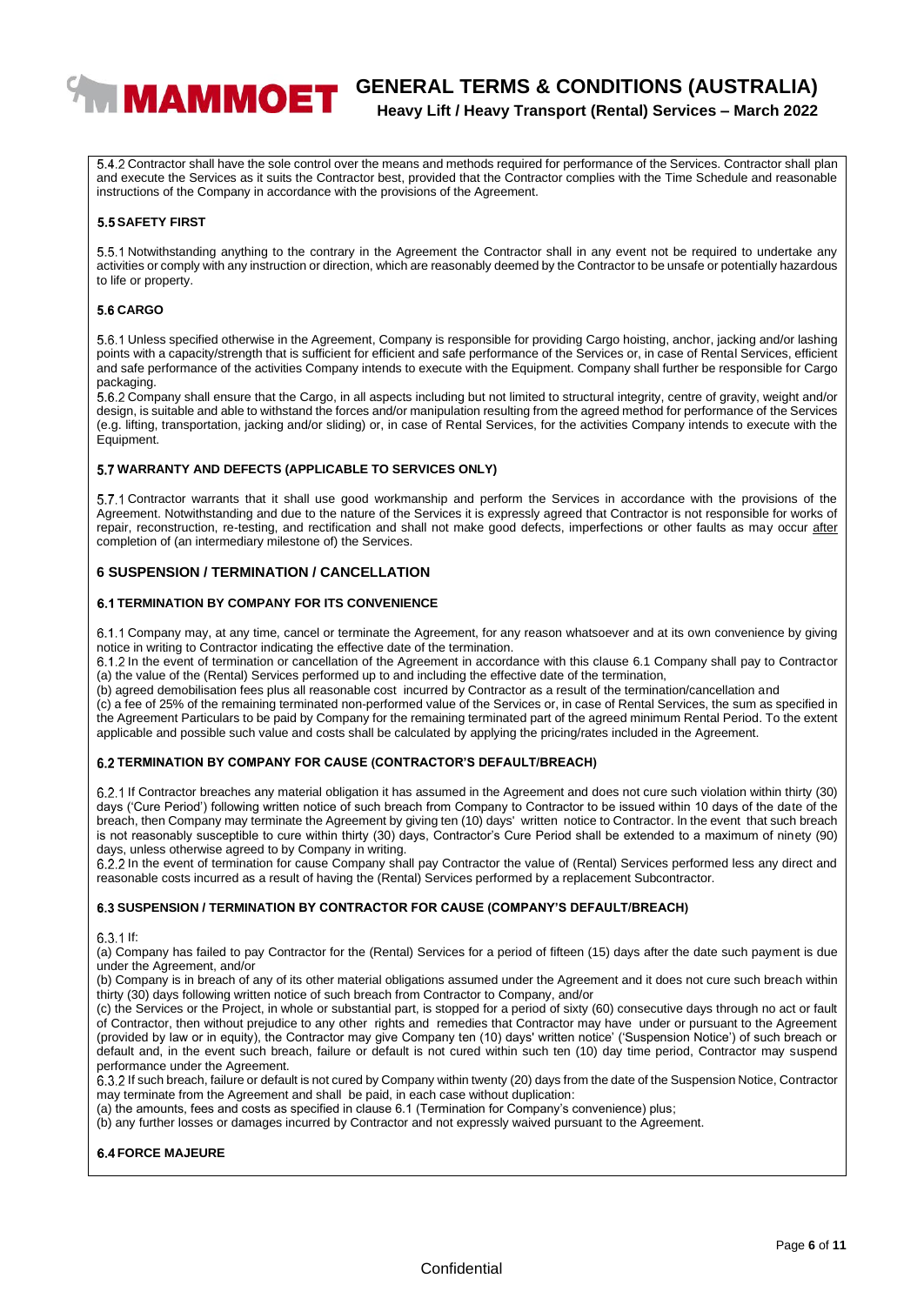

# **WAMMOET** GENERAL TERMS & CONDITIONS (AUSTRALIA) **Heavy Lift / Heavy Transport (Rental) Services – March 2022**

5.4.2 Contractor shall have the sole control over the means and methods required for performance of the Services. Contractor shall plan and execute the Services as it suits the Contractor best, provided that the Contractor complies with the Time Schedule and reasonable instructions of the Company in accordance with the provisions of the Agreement.

#### **5.5 SAFETY FIRST**

5.5.1 Notwithstanding anything to the contrary in the Agreement the Contractor shall in any event not be required to undertake any activities or comply with any instruction or direction, which are reasonably deemed by the Contractor to be unsafe or potentially hazardous to life or property.

#### **CARGO**

Unless specified otherwise in the Agreement, Company is responsible for providing Cargo hoisting, anchor, jacking and/or lashing points with a capacity/strength that is sufficient for efficient and safe performance of the Services or, in case of Rental Services, efficient and safe performance of the activities Company intends to execute with the Equipment. Company shall further be responsible for Cargo packaging.

Company shall ensure that the Cargo, in all aspects including but not limited to structural integrity, centre of gravity, weight and/or design, is suitable and able to withstand the forces and/or manipulation resulting from the agreed method for performance of the Services (e.g. lifting, transportation, jacking and/or sliding) or, in case of Rental Services, for the activities Company intends to execute with the Equipment.

#### **WARRANTY AND DEFECTS (APPLICABLE TO SERVICES ONLY)**

5.7.1 Contractor warrants that it shall use good workmanship and perform the Services in accordance with the provisions of the Agreement. Notwithstanding and due to the nature of the Services it is expressly agreed that Contractor is not responsible for works of repair, reconstruction, re-testing, and rectification and shall not make good defects, imperfections or other faults as may occur after completion of (an intermediary milestone of) the Services.

#### **6 SUSPENSION / TERMINATION / CANCELLATION**

#### **TERMINATION BY COMPANY FOR ITS CONVENIENCE**

6.1.1 Company may, at any time, cancel or terminate the Agreement, for any reason whatsoever and at its own convenience by giving notice in writing to Contractor indicating the effective date of the termination.

In the event of termination or cancellation of the Agreement in accordance with this clause 6.1 Company shall pay to Contractor (a) the value of the (Rental) Services performed up to and including the effective date of the termination,

(b) agreed demobilisation fees plus all reasonable cost incurred by Contractor as a result of the termination/cancellation and

(c) a fee of 25% of the remaining terminated non-performed value of the Services or, in case of Rental Services, the sum as specified in the Agreement Particulars to be paid by Company for the remaining terminated part of the agreed minimum Rental Period. To the extent applicable and possible such value and costs shall be calculated by applying the pricing/rates included in the Agreement.

#### **TERMINATION BY COMPANY FOR CAUSE (CONTRACTOR'S DEFAULT/BREACH)**

If Contractor breaches any material obligation it has assumed in the Agreement and does not cure such violation within thirty (30) days ('Cure Period') following written notice of such breach from Company to Contractor to be issued within 10 days of the date of the breach, then Company may terminate the Agreement by giving ten (10) days' written notice to Contractor. ln the event that such breach is not reasonably susceptible to cure within thirty (30) days, Contractor's Cure Period shall be extended to a maximum of ninety (90) days, unless otherwise agreed to by Company in writing.

6.2.2 In the event of termination for cause Company shall pay Contractor the value of (Rental) Services performed less any direct and reasonable costs incurred as a result of having the (Rental) Services performed by a replacement Subcontractor.

#### **SUSPENSION / TERMINATION BY CONTRACTOR FOR CAUSE (COMPANY'S DEFAULT/BREACH)**

 $6.3.1$  If:

(a) Company has failed to pay Contractor for the (Rental) Services for a period of fifteen (15) days after the date such payment is due under the Agreement, and/or

(b) Company is in breach of any of its other material obligations assumed under the Agreement and it does not cure such breach within thirty (30) days following written notice of such breach from Contractor to Company, and/or

(c) the Services or the Project, in whole or substantial part, is stopped for a period of sixty (60) consecutive days through no act or fault of Contractor, then without prejudice to any other rights and remedies that Contractor may have under or pursuant to the Agreement (provided by law or in equity), the Contractor may give Company ten (10) days' written notice' ('Suspension Notice') of such breach or default and, in the event such breach, failure or default is not cured within such ten (10) day time period, Contractor may suspend performance under the Agreement.

If such breach, failure or default is not cured by Company within twenty (20) days from the date of the Suspension Notice, Contractor may terminate from the Agreement and shall be paid, in each case without duplication:

(a) the amounts, fees and costs as specified in clause 6.1 (Termination for Company's convenience) plus;

(b) any further losses or damages incurred by Contractor and not expressly waived pursuant to the Agreement.

**6.4 FORCE MAJEURE**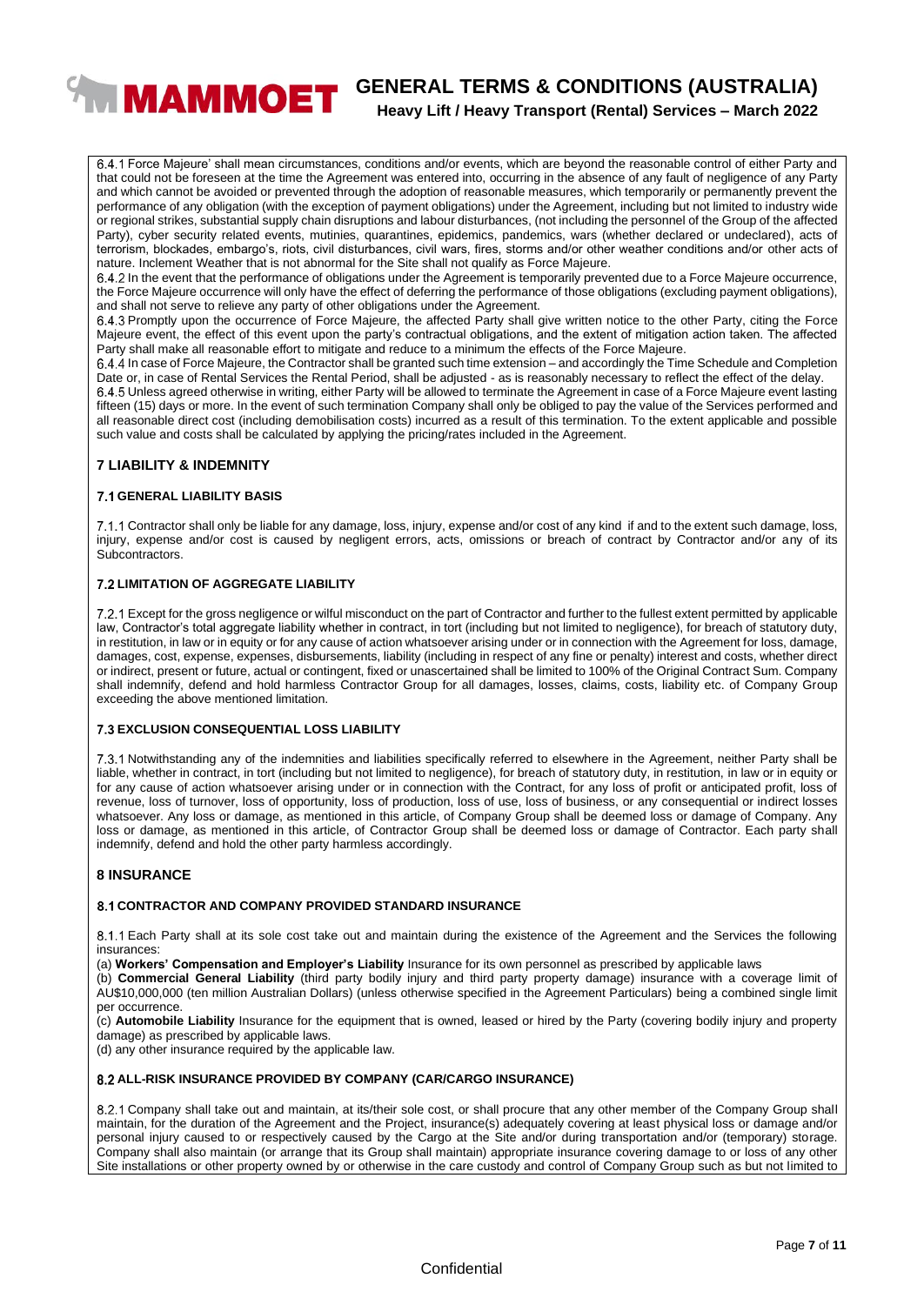# **WIMAMMOET** GENERAL TERMS & CONDITIONS (AUSTRALIA)

**Heavy Lift / Heavy Transport (Rental) Services – March 2022**

Force Majeure' shall mean circumstances, conditions and/or events, which are beyond the reasonable control of either Party and that could not be foreseen at the time the Agreement was entered into, occurring in the absence of any fault of negligence of any Party and which cannot be avoided or prevented through the adoption of reasonable measures, which temporarily or permanently prevent the performance of any obligation (with the exception of payment obligations) under the Agreement, including but not limited to industry wide or regional strikes, substantial supply chain disruptions and labour disturbances, (not including the personnel of the Group of the affected Party), cyber security related events, mutinies, quarantines, epidemics, pandemics, wars (whether declared or undeclared), acts of terrorism, blockades, embargo's, riots, civil disturbances, civil wars, fires, storms and/or other weather conditions and/or other acts of nature. Inclement Weather that is not abnormal for the Site shall not qualify as Force Majeure.

In the event that the performance of obligations under the Agreement is temporarily prevented due to a Force Majeure occurrence, the Force Majeure occurrence will only have the effect of deferring the performance of those obligations (excluding payment obligations), and shall not serve to relieve any party of other obligations under the Agreement.

6.4.3 Promptly upon the occurrence of Force Majeure, the affected Party shall give written notice to the other Party, citing the Force Majeure event, the effect of this event upon the party's contractual obligations, and the extent of mitigation action taken. The affected Party shall make all reasonable effort to mitigate and reduce to a minimum the effects of the Force Majeure.

In case of Force Majeure, the Contractor shall be granted such time extension – and accordingly the Time Schedule and Completion Date or, in case of Rental Services the Rental Period, shall be adjusted - as is reasonably necessary to reflect the effect of the delay.

Unless agreed otherwise in writing, either Party will be allowed to terminate the Agreement in case of a Force Majeure event lasting fifteen (15) days or more. In the event of such termination Company shall only be obliged to pay the value of the Services performed and all reasonable direct cost (including demobilisation costs) incurred as a result of this termination. To the extent applicable and possible such value and costs shall be calculated by applying the pricing/rates included in the Agreement.

#### **7 LIABILITY & INDEMNITY**

#### **GENERAL LIABILITY BASIS**

Contractor shall only be liable for any damage, loss, injury, expense and/or cost of any kind if and to the extent such damage, loss, injury, expense and/or cost is caused by negligent errors, acts, omissions or breach of contract by Contractor and/or any of its Subcontractors.

#### **7.2 LIMITATION OF AGGREGATE LIABILITY**

Except for the gross negligence or wilful misconduct on the part of Contractor and further to the fullest extent permitted by applicable law, Contractor's total aggregate liability whether in contract, in tort (including but not limited to negligence), for breach of statutory duty, in restitution, in law or in equity or for any cause of action whatsoever arising under or in connection with the Agreement for loss, damage, damages, cost, expense, expenses, disbursements, liability (including in respect of any fine or penalty) interest and costs, whether direct or indirect, present or future, actual or contingent, fixed or unascertained shall be limited to 100% of the Original Contract Sum. Company shall indemnify, defend and hold harmless Contractor Group for all damages, losses, claims, costs, liability etc. of Company Group exceeding the above mentioned limitation.

#### **EXCLUSION CONSEQUENTIAL LOSS LIABILITY**

7.3.1 Notwithstanding any of the indemnities and liabilities specifically referred to elsewhere in the Agreement, neither Party shall be liable, whether in contract, in tort (including but not limited to negligence), for breach of statutory duty, in restitution, in law or in equity or for any cause of action whatsoever arising under or in connection with the Contract, for any loss of profit or anticipated profit, loss of revenue, loss of turnover, loss of opportunity, loss of production, loss of use, loss of business, or any consequential or indirect losses whatsoever. Any loss or damage, as mentioned in this article, of Company Group shall be deemed loss or damage of Company. Any loss or damage, as mentioned in this article, of Contractor Group shall be deemed loss or damage of Contractor. Each party shall indemnify, defend and hold the other party harmless accordingly.

#### **8 INSURANCE**

#### **8.1 CONTRACTOR AND COMPANY PROVIDED STANDARD INSURANCE**

Each Party shall at its sole cost take out and maintain during the existence of the Agreement and the Services the following insurances:

(a) **Workers' Compensation and Employer's Liability** Insurance for its own personnel as prescribed by applicable laws

(b) **Commercial General Liability** (third party bodily injury and third party property damage) insurance with a coverage limit of AU\$10,000,000 (ten million Australian Dollars) (unless otherwise specified in the Agreement Particulars) being a combined single limit per occurrence.

(c) **Automobile Liability** Insurance for the equipment that is owned, leased or hired by the Party (covering bodily injury and property damage) as prescribed by applicable laws.

(d) any other insurance required by the applicable law.

#### **ALL-RISK INSURANCE PROVIDED BY COMPANY (CAR/CARGO INSURANCE)**

8.2.1 Company shall take out and maintain, at its/their sole cost, or shall procure that any other member of the Company Group shall maintain, for the duration of the Agreement and the Project, insurance(s) adequately covering at least physical loss or damage and/or personal injury caused to or respectively caused by the Cargo at the Site and/or during transportation and/or (temporary) storage. Company shall also maintain (or arrange that its Group shall maintain) appropriate insurance covering damage to or loss of any other Site installations or other property owned by or otherwise in the care custody and control of Company Group such as but not limited to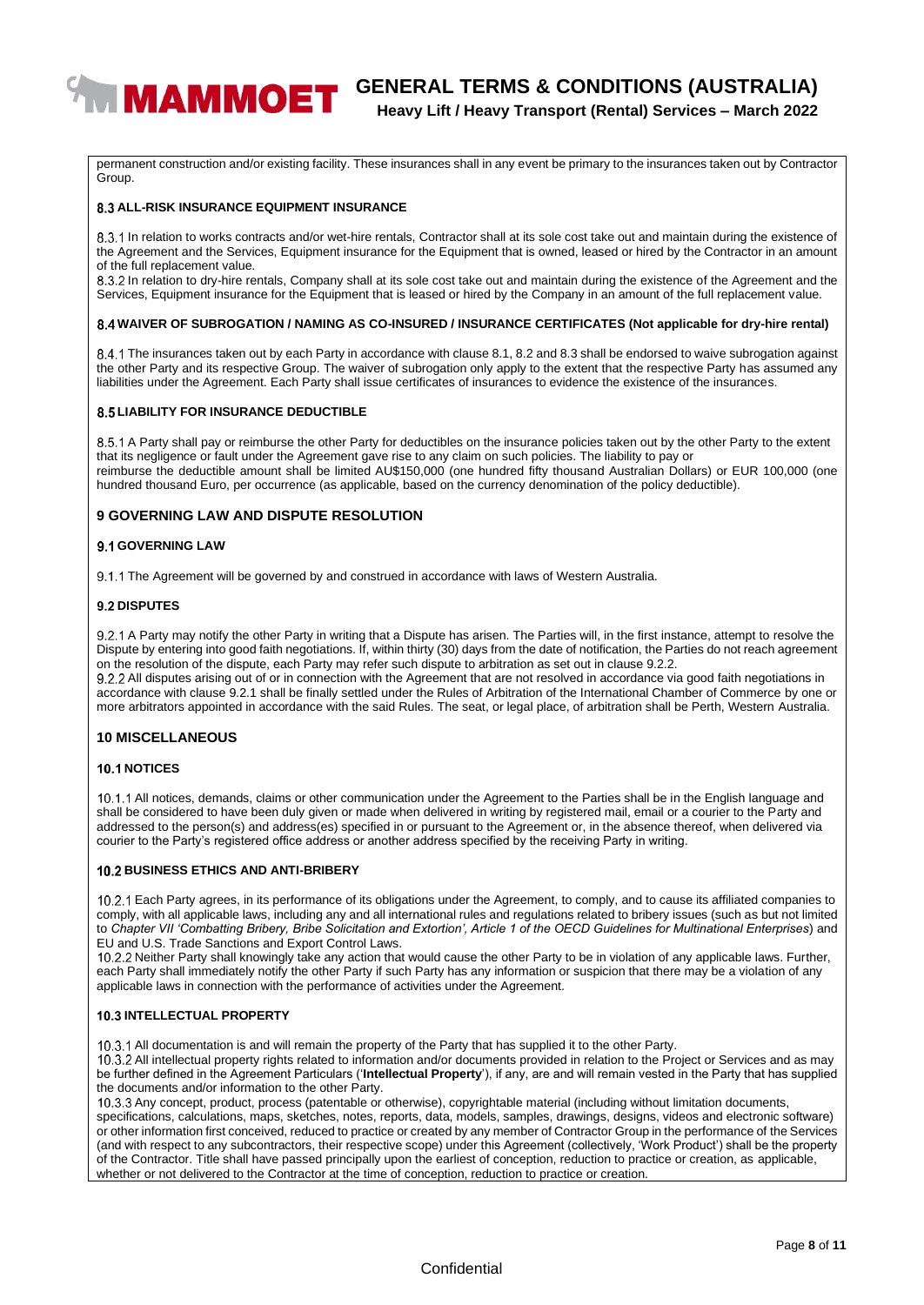

# **WIMAMMOET** GENERAL TERMS & CONDITIONS (AUSTRALIA) **Heavy Lift / Heavy Transport (Rental) Services – March 2022**

permanent construction and/or existing facility. These insurances shall in any event be primary to the insurances taken out by Contractor Group.

#### **8.3 ALL-RISK INSURANCE EQUIPMENT INSURANCE**

8.3.1 In relation to works contracts and/or wet-hire rentals, Contractor shall at its sole cost take out and maintain during the existence of the Agreement and the Services, Equipment insurance for the Equipment that is owned, leased or hired by the Contractor in an amount of the full replacement value.

8.3.2 In relation to dry-hire rentals, Company shall at its sole cost take out and maintain during the existence of the Agreement and the Services, Equipment insurance for the Equipment that is leased or hired by the Company in an amount of the full replacement value.

#### **WAIVER OF SUBROGATION / NAMING AS CO-INSURED / INSURANCE CERTIFICATES (Not applicable for dry-hire rental)**

The insurances taken out by each Party in accordance with clause 8.1, 8.2 and 8.3 shall be endorsed to waive subrogation against the other Party and its respective Group. The waiver of subrogation only apply to the extent that the respective Party has assumed any liabilities under the Agreement. Each Party shall issue certificates of insurances to evidence the existence of the insurances.

#### **8.5 LIABILITY FOR INSURANCE DEDUCTIBLE**

8.5.1 A Party shall pay or reimburse the other Party for deductibles on the insurance policies taken out by the other Party to the extent that its negligence or fault under the Agreement gave rise to any claim on such policies. The liability to pay or reimburse the deductible amount shall be limited AU\$150,000 (one hundred fifty thousand Australian Dollars) or EUR 100,000 (one hundred thousand Euro, per occurrence (as applicable, based on the currency denomination of the policy deductible).

#### **9 GOVERNING LAW AND DISPUTE RESOLUTION**

#### **9.1 GOVERNING LAW**

9.1.1 The Agreement will be governed by and construed in accordance with laws of Western Australia.

#### **9.2 DISPUTES**

9.2.1 A Party may notify the other Party in writing that a Dispute has arisen. The Parties will, in the first instance, attempt to resolve the Dispute by entering into good faith negotiations. If, within thirty (30) days from the date of notification, the Parties do not reach agreement on the resolution of the dispute, each Party may refer such dispute to arbitration as set out in clause 9.2.2.

9.2.2 All disputes arising out of or in connection with the Agreement that are not resolved in accordance via good faith negotiations in accordance with clause 9.2.1 shall be finally settled under the Rules of Arbitration of the International Chamber of Commerce by one or more arbitrators appointed in accordance with the said Rules. The seat, or legal place, of arbitration shall be Perth, Western Australia.

#### **10 MISCELLANEOUS**

#### **10.1 NOTICES**

10.1.1 All notices, demands, claims or other communication under the Agreement to the Parties shall be in the English language and shall be considered to have been duly given or made when delivered in writing by registered mail, email or a courier to the Party and addressed to the person(s) and address(es) specified in or pursuant to the Agreement or, in the absence thereof, when delivered via courier to the Party's registered office address or another address specified by the receiving Party in writing.

#### **BUSINESS ETHICS AND ANTI-BRIBERY**

Each Party agrees, in its performance of its obligations under the Agreement, to comply, and to cause its affiliated companies to comply, with all applicable laws, including any and all international rules and regulations related to bribery issues (such as but not limited to *Chapter VII 'Combatting Bribery, Bribe Solicitation and Extortion', Article 1 of the OECD Guidelines for Multinational Enterprises*) and EU and U.S. Trade Sanctions and Export Control Laws.

10.2.2 Neither Party shall knowingly take any action that would cause the other Party to be in violation of any applicable laws. Further, each Party shall immediately notify the other Party if such Party has any information or suspicion that there may be a violation of any applicable laws in connection with the performance of activities under the Agreement.

#### **10.3 INTELLECTUAL PROPERTY**

10.3.1 All documentation is and will remain the property of the Party that has supplied it to the other Party.

10.3.2 All intellectual property rights related to information and/or documents provided in relation to the Project or Services and as may be further defined in the Agreement Particulars ('**Intellectual Property**'), if any, are and will remain vested in the Party that has supplied the documents and/or information to the other Party.

10.3.3 Any concept, product, process (patentable or otherwise), copyrightable material (including without limitation documents, specifications, calculations, maps, sketches, notes, reports, data, models, samples, drawings, designs, videos and electronic software) or other information first conceived, reduced to practice or created by any member of Contractor Group in the performance of the Services (and with respect to any subcontractors, their respective scope) under this Agreement (collectively, 'Work Product') shall be the property of the Contractor. Title shall have passed principally upon the earliest of conception, reduction to practice or creation, as applicable, whether or not delivered to the Contractor at the time of conception, reduction to practice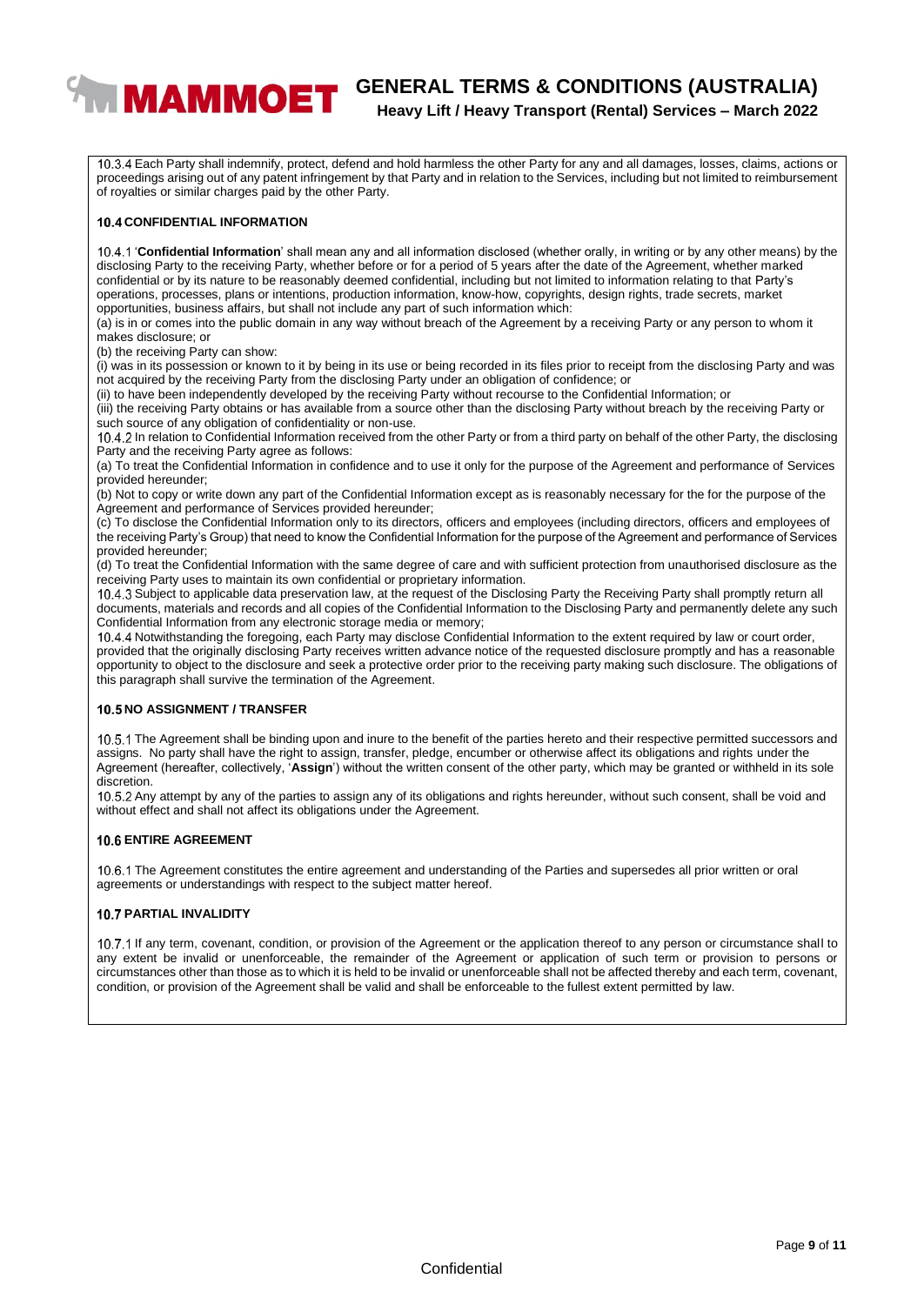# **WIMAMMOET** GENERAL TERMS & CONDITIONS (AUSTRALIA) **Heavy Lift / Heavy Transport (Rental) Services – March 2022**

Each Party shall indemnify, protect, defend and hold harmless the other Party for any and all damages, losses, claims, actions or proceedings arising out of any patent infringement by that Party and in relation to the Services, including but not limited to reimbursement of royalties or similar charges paid by the other Party.

#### **10.4 CONFIDENTIAL INFORMATION**

'**Confidential Information**' shall mean any and all information disclosed (whether orally, in writing or by any other means) by the disclosing Party to the receiving Party, whether before or for a period of 5 years after the date of the Agreement, whether marked confidential or by its nature to be reasonably deemed confidential, including but not limited to information relating to that Party's operations, processes, plans or intentions, production information, know-how, copyrights, design rights, trade secrets, market opportunities, business affairs, but shall not include any part of such information which:

(a) is in or comes into the public domain in any way without breach of the Agreement by a receiving Party or any person to whom it makes disclosure; or

(b) the receiving Party can show:

 $(i)$  was in its possession or known to it by being in its use or being recorded in its files prior to receipt from the disclosing Party and was not acquired by the receiving Party from the disclosing Party under an obligation of confidence; or

(ii) to have been independently developed by the receiving Party without recourse to the Confidential Information; or

(iii) the receiving Party obtains or has available from a source other than the disclosing Party without breach by the receiving Party or such source of any obligation of confidentiality or non-use.

In relation to Confidential Information received from the other Party or from a third party on behalf of the other Party, the disclosing Party and the receiving Party agree as follows:

(a) To treat the Confidential Information in confidence and to use it only for the purpose of the Agreement and performance of Services provided hereunder;

(b) Not to copy or write down any part of the Confidential Information except as is reasonably necessary for the for the purpose of the Agreement and performance of Services provided hereunder;

(c) To disclose the Confidential Information only to its directors, officers and employees (including directors, officers and employees of the receiving Party's Group) that need to know the Confidential Information for the purpose of the Agreement and performance of Services provided hereunder;

(d) To treat the Confidential Information with the same degree of care and with sufficient protection from unauthorised disclosure as the receiving Party uses to maintain its own confidential or proprietary information.

10.4.3 Subject to applicable data preservation law, at the request of the Disclosing Party the Receiving Party shall promptly return all documents, materials and records and all copies of the Confidential Information to the Disclosing Party and permanently delete any such Confidential Information from any electronic storage media or memory;

10.4.4 Notwithstanding the foregoing, each Party may disclose Confidential Information to the extent required by law or court order, provided that the originally disclosing Party receives written advance notice of the requested disclosure promptly and has a reasonable opportunity to object to the disclosure and seek a protective order prior to the receiving party making such disclosure. The obligations of this paragraph shall survive the termination of the Agreement.

#### **10.5 NO ASSIGNMENT / TRANSFER**

10.5.1 The Agreement shall be binding upon and inure to the benefit of the parties hereto and their respective permitted successors and assigns. No party shall have the right to assign, transfer, pledge, encumber or otherwise affect its obligations and rights under the Agreement (hereafter, collectively, '**Assign**') without the written consent of the other party, which may be granted or withheld in its sole discretion.

10.5.2 Any attempt by any of the parties to assign any of its obligations and rights hereunder, without such consent, shall be void and without effect and shall not affect its obligations under the Agreement.

#### **10.6 ENTIRE AGREEMENT**

10.6.1 The Agreement constitutes the entire agreement and understanding of the Parties and supersedes all prior written or oral agreements or understandings with respect to the subject matter hereof.

#### **10.7 PARTIAL INVALIDITY**

10.7.1 If any term, covenant, condition, or provision of the Agreement or the application thereof to any person or circumstance shall to any extent be invalid or unenforceable, the remainder of the Agreement or application of such term or provision to persons or circumstances other than those as to which it is held to be invalid or unenforceable shall not be affected thereby and each term, covenant, condition, or provision of the Agreement shall be valid and shall be enforceable to the fullest extent permitted by law.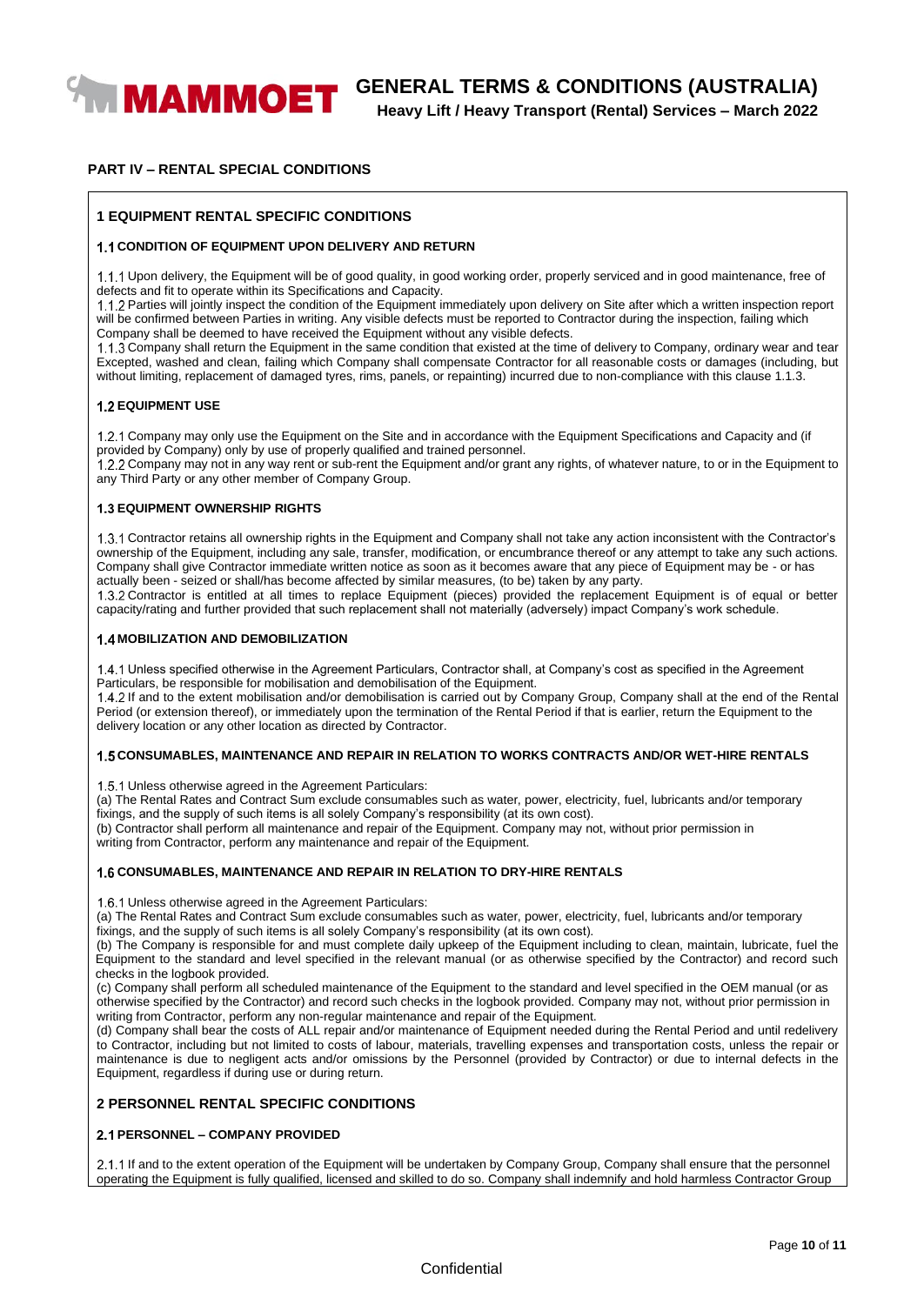

**Heavy Lift / Heavy Transport (Rental) Services – March 2022**

#### **PART IV – RENTAL SPECIAL CONDITIONS**

#### **1 EQUIPMENT RENTAL SPECIFIC CONDITIONS**

#### **1.1 CONDITION OF EQUIPMENT UPON DELIVERY AND RETURN**

1.1.1 Upon delivery, the Equipment will be of good quality, in good working order, properly serviced and in good maintenance, free of defects and fit to operate within its Specifications and Capacity.

Parties will jointly inspect the condition of the Equipment immediately upon delivery on Site after which a written inspection report will be confirmed between Parties in writing. Any visible defects must be reported to Contractor during the inspection, failing which Company shall be deemed to have received the Equipment without any visible defects.

1.1.3 Company shall return the Equipment in the same condition that existed at the time of delivery to Company, ordinary wear and tear Excepted, washed and clean, failing which Company shall compensate Contractor for all reasonable costs or damages (including, but without limiting, replacement of damaged tyres, rims, panels, or repainting) incurred due to non-compliance with this clause 1.1.3.

#### **1.2 EQUIPMENT USE**

1.2.1 Company may only use the Equipment on the Site and in accordance with the Equipment Specifications and Capacity and (if provided by Company) only by use of properly qualified and trained personnel.

Company may not in any way rent or sub-rent the Equipment and/or grant any rights, of whatever nature, to or in the Equipment to any Third Party or any other member of Company Group.

#### **1.3 EQUIPMENT OWNERSHIP RIGHTS**

Contractor retains all ownership rights in the Equipment and Company shall not take any action inconsistent with the Contractor's ownership of the Equipment, including any sale, transfer, modification, or encumbrance thereof or any attempt to take any such actions. Company shall give Contractor immediate written notice as soon as it becomes aware that any piece of Equipment may be - or has actually been - seized or shall/has become affected by similar measures, (to be) taken by any party.

Contractor is entitled at all times to replace Equipment (pieces) provided the replacement Equipment is of equal or better capacity/rating and further provided that such replacement shall not materially (adversely) impact Company's work schedule.

#### **1.4 MOBILIZATION AND DEMOBILIZATION**

Unless specified otherwise in the Agreement Particulars, Contractor shall, at Company's cost as specified in the Agreement Particulars, be responsible for mobilisation and demobilisation of the Equipment.

1.4.2 If and to the extent mobilisation and/or demobilisation is carried out by Company Group, Company shall at the end of the Rental Period (or extension thereof), or immediately upon the termination of the Rental Period if that is earlier, return the Equipment to the delivery location or any other location as directed by Contractor.

#### **CONSUMABLES, MAINTENANCE AND REPAIR IN RELATION TO WORKS CONTRACTS AND/OR WET-HIRE RENTALS**

1.5.1 Unless otherwise agreed in the Agreement Particulars:

(a) The Rental Rates and Contract Sum exclude consumables such as water, power, electricity, fuel, lubricants and/or temporary fixings, and the supply of such items is all solely Company's responsibility (at its own cost).

(b) Contractor shall perform all maintenance and repair of the Equipment. Company may not, without prior permission in writing from Contractor, perform any maintenance and repair of the Equipment.

#### **CONSUMABLES, MAINTENANCE AND REPAIR IN RELATION TO DRY-HIRE RENTALS**

1.6.1 Unless otherwise agreed in the Agreement Particulars:

(a) The Rental Rates and Contract Sum exclude consumables such as water, power, electricity, fuel, lubricants and/or temporary fixings, and the supply of such items is all solely Company's responsibility (at its own cost).

(b) The Company is responsible for and must complete daily upkeep of the Equipment including to clean, maintain, lubricate, fuel the Equipment to the standard and level specified in the relevant manual (or as otherwise specified by the Contractor) and record such checks in the logbook provided.

(c) Company shall perform all scheduled maintenance of the Equipment to the standard and level specified in the OEM manual (or as otherwise specified by the Contractor) and record such checks in the logbook provided. Company may not, without prior permission in writing from Contractor, perform any non-regular maintenance and repair of the Equipment.

(d) Company shall bear the costs of ALL repair and/or maintenance of Equipment needed during the Rental Period and until redelivery to Contractor, including but not limited to costs of labour, materials, travelling expenses and transportation costs, unless the repair or maintenance is due to negligent acts and/or omissions by the Personnel (provided by Contractor) or due to internal defects in the Equipment, regardless if during use or during return.

#### **2 PERSONNEL RENTAL SPECIFIC CONDITIONS**

#### **PERSONNEL – COMPANY PROVIDED**

2.1.1 If and to the extent operation of the Equipment will be undertaken by Company Group, Company shall ensure that the personnel operating the Equipment is fully qualified, licensed and skilled to do so. Company shall indemnify and hold harmless Contractor Group